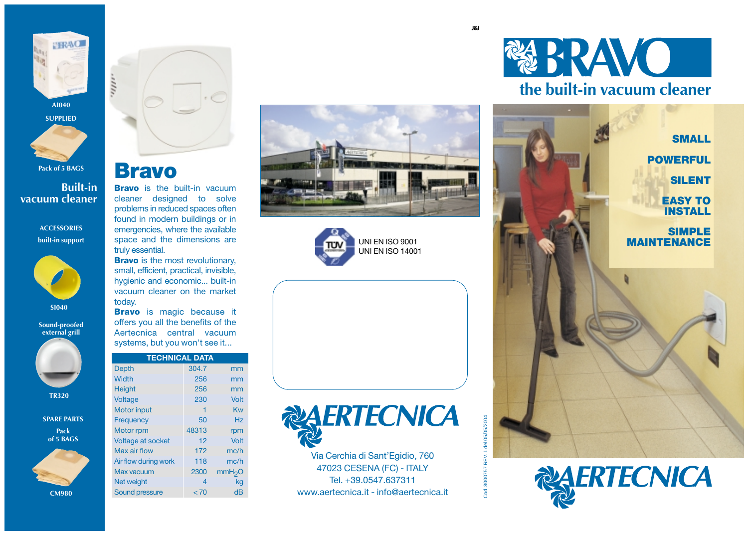

**Pack of 5 BAGS**

**Built-in vacuum cleaner**

> **ACCESSORIES built-in support**



**SI040**

#### **Sound-proofed external grill**



**TR320**

**SPARE PARTS Pack of 5 BAGS**



**CM980**



### **Bravo**

**Bravo** is the built-in vacuum cleaner designed to solve problems in reduced spaces often found in modern buildings or in emergencies, where the available space and the dimensions are truly essential.

**Bravo** is the most revolutionary, small, efficient, practical, invisible, hygienic and economic... built-in vacuum cleaner on the market today.

**Bravo** is magic because it offers you all the benefits of the Aertecnica central vacuum systems, but you won't see it...

| <b>TECHNICAL DATA</b> |       |          |
|-----------------------|-------|----------|
| <b>Depth</b>          | 304.7 | mm       |
| Width                 | 256   | mm       |
| <b>Height</b>         | 256   | mm       |
| Voltage               | 230   | Volt     |
| <b>Motor input</b>    | 1     | Kw       |
| Frequency             | 50    | Hz       |
| Motor rpm             | 48313 | rpm      |
| Voltage at socket     | 12    | Volt     |
| Max air flow          | 172   | mc/h     |
| Air flow during work  | 118   | mc/h     |
| <b>Max vacuum</b>     | 2300  | mm $H2O$ |
| Net weight            | 4     | kg       |
| <b>Sound pressure</b> | < 70  | dB       |







Via Cerchia di Sant'Egidio, 760 47023 CESENA (FC) - ITALY Tel. +39.0547.637311 www.aertecnica.it - info@aertecnica.it







cod.